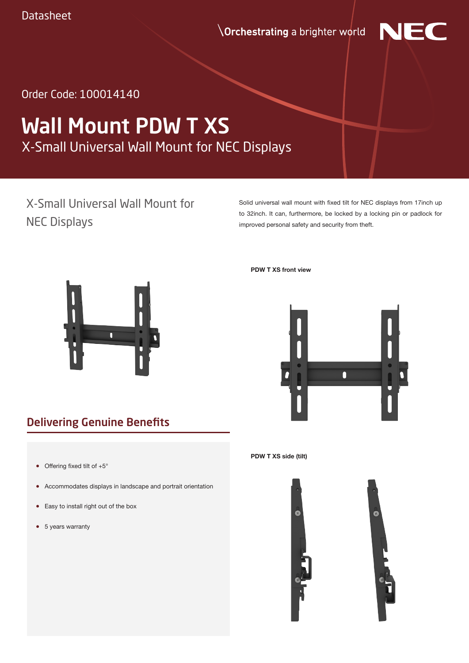*<u>Orchestrating</u>* a brighter world



Order Code: 100014140

# X-Small Universal Wall Mount for NEC Displays Wall Mount PDW T XS

# X-Small Universal Wall Mount for NEC Displays

Solid universal wall mount with fixed tilt for NEC displays from 17inch up to 32inch. It can, furthermore, be locked by a locking pin or padlock for improved personal safety and security from theft.



Delivering Genuine Benefits

- Offering fixed tilt of  $+5^\circ$
- Accommodates displays in landscape and portrait orientation
- Easy to install right out of the box
- 5 years warranty

**PDW T XS front view**



#### **PDW T XS side (tilt)**